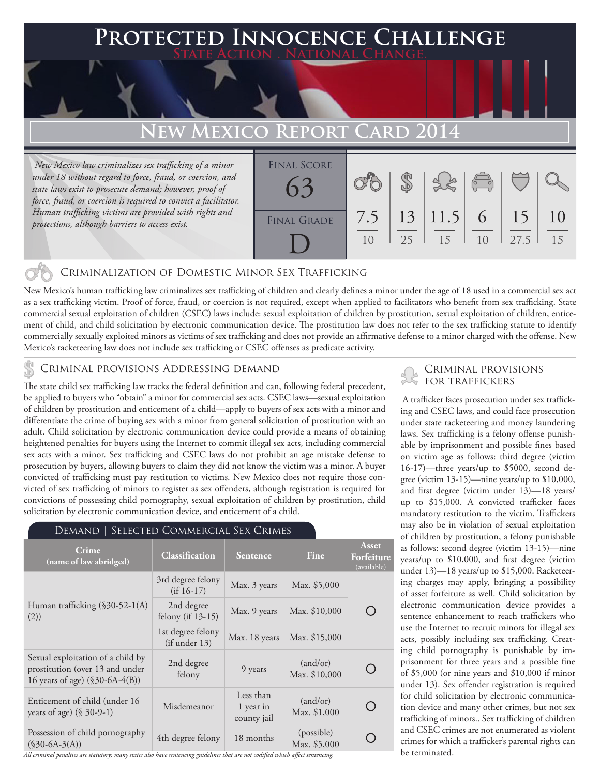## **Protected Innocence Challenge State Action . National Change.**

# **New Mexico Report Card 2014**

 *New Mexico law criminalizes sex trafficking of a minor under 18 without regard to force, fraud, or coercion, and state laws exist to prosecute demand; however, proof of force, fraud, or coercion is required to convict a facilitator. Human trafficking victims are provided with rights and protections, although barriers to access exist.*

| <b>FINAL SCORE</b> |           |    |                | $\begin{pmatrix} 0 & 0 \\ 0 & 0 \end{pmatrix}$ |            |    |
|--------------------|-----------|----|----------------|------------------------------------------------|------------|----|
| <b>FINAL GRADE</b> | 7.5<br>10 | 25 | 13 11.5 <br>15 | 6<br>10                                        | 15<br>27.5 | 15 |

## Criminalization of Domestic Minor Sex Trafficking

New Mexico's human trafficking law criminalizes sex trafficking of children and clearly defines a minor under the age of 18 used in a commercial sex act as a sex trafficking victim. Proof of force, fraud, or coercion is not required, except when applied to facilitators who benefit from sex trafficking. State commercial sexual exploitation of children (CSEC) laws include: sexual exploitation of children by prostitution, sexual exploitation of children, enticement of child, and child solicitation by electronic communication device. The prostitution law does not refer to the sex trafficking statute to identify commercially sexually exploited minors as victims of sex trafficking and does not provide an affirmative defense to a minor charged with the offense. New Mexico's racketeering law does not include sex trafficking or CSEC offenses as predicate activity.

## CRIMINAL PROVISIONS ADDRESSING DEMAND

The state child sex trafficking law tracks the federal definition and can, following federal precedent, be applied to buyers who "obtain" a minor for commercial sex acts. CSEC laws—sexual exploitation of children by prostitution and enticement of a child—apply to buyers of sex acts with a minor and differentiate the crime of buying sex with a minor from general solicitation of prostitution with an adult. Child solicitation by electronic communication device could provide a means of obtaining heightened penalties for buyers using the Internet to commit illegal sex acts, including commercial sex acts with a minor. Sex trafficking and CSEC laws do not prohibit an age mistake defense to prosecution by buyers, allowing buyers to claim they did not know the victim was a minor. A buyer convicted of trafficking must pay restitution to victims. New Mexico does not require those convicted of sex trafficking of minors to register as sex offenders, although registration is required for convictions of possessing child pornography, sexual exploitation of children by prostitution, child solicitation by electronic communication device, and enticement of a child.

#### Demand | Selected Commercial Sex Crimes **Asset Crime (name of law abridged) Classification Sentence Fine Forfeiture**  (available) 3rd degree felony (if  $16-17$ ) Max. 3 years Max. \$5,000 Human trafficking (§30-52-1(A) 2nd degree ∩  $\begin{array}{|l|c|c|c|c|}\n\hline\n\text{felong (if 13-15)} & \text{Max. 9 years} & \text{Max. $10,000}\n\hline\n\end{array}$ (2)) 1st degree felony  $\begin{array}{c|c}\n\text{(if under 13)} \\
\text{(if under 13)}\n\end{array}$  Max. 18 years Max. \$15,000 Sexual exploitation of a child by 2nd degree d degree  $\begin{array}{|c|c|} \hline 9 \text{ years} \end{array}$  (and/or)<br>felony  $\begin{array}{|c|c|} \hline \text{Max. } $10,000 \end{array}$ prostitution (over 13 and under  $\bigcirc$ 16 years of age) (§30-6A-4(B)) Less than Enticement of child (under 16 (and/or) Entitlement of entity (and the 10<br>years of age) (§ 30-9-1) Misdemeanor 1 year in ∩ Max. \$1,000 county jail Possession of child pornography <br>
(\$30-6A-3(A)) 4th degree felony 18 months Max. \$5,00 O Max. \$5,000

*All criminal penalties are statutory; many states also have sentencing guidelines that are not codified which affect sentencing.* 

### Criminal provisions for traffickers

 A trafficker faces prosecution under sex trafficking and CSEC laws, and could face prosecution under state racketeering and money laundering laws. Sex trafficking is a felony offense punishable by imprisonment and possible fines based on victim age as follows: third degree (victim 16-17)—three years/up to \$5000, second degree (victim 13-15)—nine years/up to \$10,000, and first degree (victim under 13)—18 years/ up to \$15,000. A convicted trafficker faces mandatory restitution to the victim. Traffickers may also be in violation of sexual exploitation of children by prostitution, a felony punishable as follows: second degree (victim 13-15)—nine years/up to \$10,000, and first degree (victim under 13)—18 years/up to \$15,000. Racketeering charges may apply, bringing a possibility of asset forfeiture as well. Child solicitation by electronic communication device provides a sentence enhancement to reach traffickers who use the Internet to recruit minors for illegal sex acts, possibly including sex trafficking. Creating child pornography is punishable by imprisonment for three years and a possible fine of \$5,000 (or nine years and \$10,000 if minor under 13). Sex offender registration is required for child solicitation by electronic communication device and many other crimes, but not sex trafficking of minors.. Sex trafficking of children and CSEC crimes are not enumerated as violent crimes for which a trafficker's parental rights can be terminated.